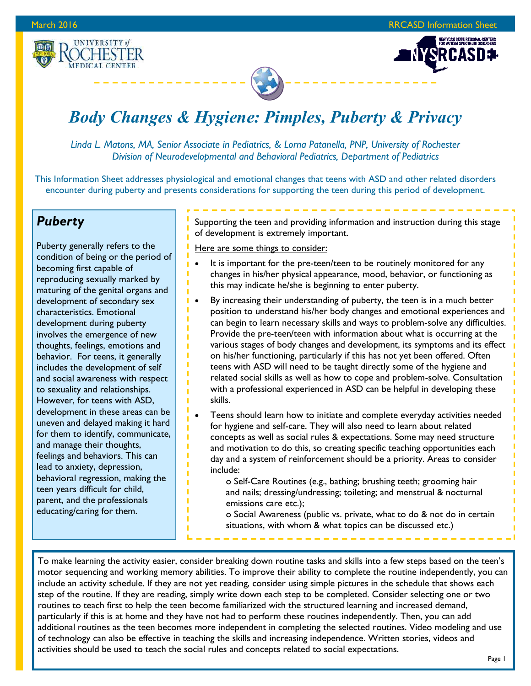.<br>New York State Regional Centers<br>For Autism Spectrum Disorders





# *Body Changes & Hygiene: Pimples, Puberty & Privacy*

*Linda L. Matons, MA, Senior Associate in Pediatrics, & Lorna Patanella, PNP, University of Rochester Division of Neurodevelopmental and Behavioral Pediatrics, Department of Pediatrics* 

This Information Sheet addresses physiological and emotional changes that teens with ASD and other related disorders encounter during puberty and presents considerations for supporting the teen during this period of development.

# *Puberty*

Puberty generally refers to the condition of being or the period of becoming first capable of reproducing sexually marked by maturing of the genital organs and development of secondary sex characteristics. Emotional development during puberty involves the emergence of new thoughts, feelings, emotions and behavior. For teens, it generally includes the development of self and social awareness with respect to sexuality and relationships. However, for teens with ASD, development in these areas can be uneven and delayed making it hard for them to identify, communicate, and manage their thoughts, feelings and behaviors. This can lead to anxiety, depression, behavioral regression, making the teen years difficult for child, parent, and the professionals educating/caring for them.

Supporting the teen and providing information and instruction during this stage of development is extremely important.

#### Here are some things to consider:

- It is important for the pre-teen/teen to be routinely monitored for any changes in his/her physical appearance, mood, behavior, or functioning as this may indicate he/she is beginning to enter puberty.
- By increasing their understanding of puberty, the teen is in a much better position to understand his/her body changes and emotional experiences and can begin to learn necessary skills and ways to problem-solve any difficulties. Provide the pre-teen/teen with information about what is occurring at the various stages of body changes and development, its symptoms and its effect on his/her functioning, particularly if this has not yet been offered. Often teens with ASD will need to be taught directly some of the hygiene and related social skills as well as how to cope and problem-solve. Consultation with a professional experienced in ASD can be helpful in developing these skills.
- Teens should learn how to initiate and complete everyday activities needed for hygiene and self-care. They will also need to learn about related concepts as well as social rules & expectations. Some may need structure and motivation to do this, so creating specific teaching opportunities each day and a system of reinforcement should be a priority. Areas to consider include:
	- o Self-Care Routines (e.g., bathing; brushing teeth; grooming hair and nails; dressing/undressing; toileting; and menstrual & nocturnal emissions care etc.);
	- o Social Awareness (public vs. private, what to do & not do in certain situations, with whom & what topics can be discussed etc.)

To make learning the activity easier, consider breaking down routine tasks and skills into a few steps based on the teen's motor sequencing and working memory abilities. To improve their ability to complete the routine independently, you can include an activity schedule. If they are not yet reading, consider using simple pictures in the schedule that shows each step of the routine. If they are reading, simply write down each step to be completed. Consider selecting one or two routines to teach first to help the teen become familiarized with the structured learning and increased demand, particularly if this is at home and they have not had to perform these routines independently. Then, you can add additional routines as the teen becomes more independent in completing the selected routines. Video modeling and use of technology can also be effective in teaching the skills and increasing independence. Written stories, videos and activities should be used to teach the social rules and concepts related to social expectations.